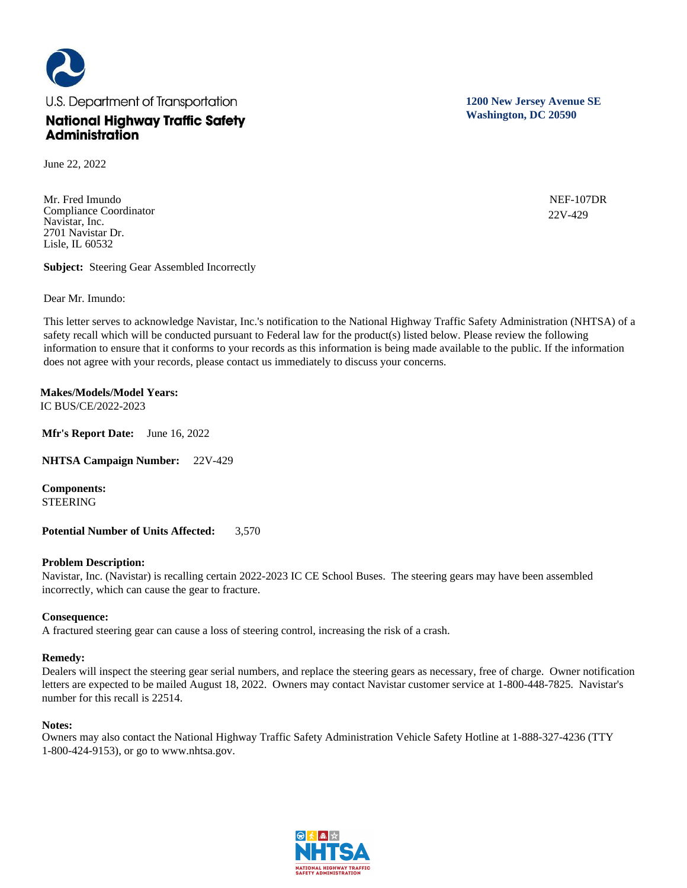

June 22, 2022

Mr. Fred Imundo Compliance Coordinator Navistar, Inc. 2701 Navistar Dr. Lisle, IL 60532

**Subject:** Steering Gear Assembled Incorrectly

Dear Mr. Imundo:

This letter serves to acknowledge Navistar, Inc.'s notification to the National Highway Traffic Safety Administration (NHTSA) of a safety recall which will be conducted pursuant to Federal law for the product(s) listed below. Please review the following information to ensure that it conforms to your records as this information is being made available to the public. If the information does not agree with your records, please contact us immediately to discuss your concerns.

**Makes/Models/Model Years:**  IC BUS/CE/2022-2023

**Mfr's Report Date:** June 16, 2022

**NHTSA Campaign Number:** 22V-429

**Components:**  STEERING

**Potential Number of Units Affected:** 3,570

### **Problem Description:**

Navistar, Inc. (Navistar) is recalling certain 2022-2023 IC CE School Buses. The steering gears may have been assembled incorrectly, which can cause the gear to fracture.

## **Consequence:**

A fractured steering gear can cause a loss of steering control, increasing the risk of a crash.

### **Remedy:**

Dealers will inspect the steering gear serial numbers, and replace the steering gears as necessary, free of charge. Owner notification letters are expected to be mailed August 18, 2022. Owners may contact Navistar customer service at 1-800-448-7825. Navistar's number for this recall is 22514.

### **Notes:**

Owners may also contact the National Highway Traffic Safety Administration Vehicle Safety Hotline at 1-888-327-4236 (TTY 1-800-424-9153), or go to www.nhtsa.gov.



**1200 New Jersey Avenue SE Washington, DC 20590**

> NEF-107DR 22V-429